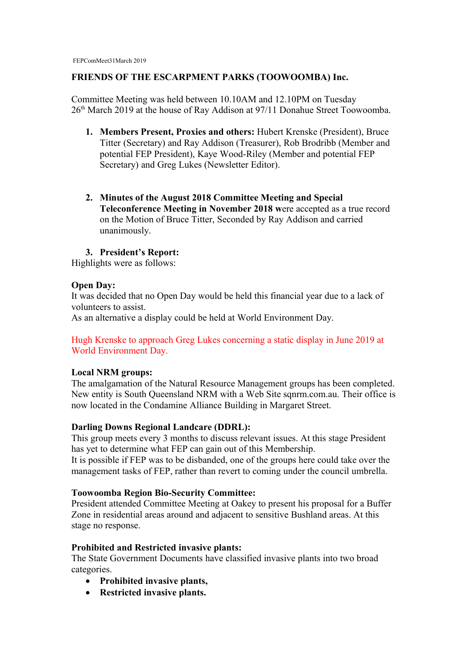# **FRIENDS OF THE ESCARPMENT PARKS (TOOWOOMBA) Inc.**

Committee Meeting was held between 10.10AM and 12.10PM on Tuesday 26th March 2019 at the house of Ray Addison at 97/11 Donahue Street Toowoomba.

- **1. Members Present, Proxies and others:** Hubert Krenske (President), Bruce Titter (Secretary) and Ray Addison (Treasurer), Rob Brodribb (Member and potential FEP President), Kaye Wood-Riley (Member and potential FEP Secretary) and Greg Lukes (Newsletter Editor).
- **2. Minutes of the August 2018 Committee Meeting and Special Teleconference Meeting in November 2018 w**ere accepted as a true record on the Motion of Bruce Titter, Seconded by Ray Addison and carried unanimously.

**3. President's Report:**

Highlights were as follows:

# **Open Day:**

It was decided that no Open Day would be held this financial year due to a lack of volunteers to assist.

As an alternative a display could be held at World Environment Day.

Hugh Krenske to approach Greg Lukes concerning a static display in June 2019 at World Environment Day.

## **Local NRM groups:**

The amalgamation of the Natural Resource Management groups has been completed. New entity is South Queensland NRM with a Web Site sqnrm.com.au. Their office is now located in the Condamine Alliance Building in Margaret Street.

# **Darling Downs Regional Landcare (DDRL):**

This group meets every 3 months to discuss relevant issues. At this stage President has yet to determine what FEP can gain out of this Membership.

It is possible if FEP was to be disbanded, one of the groups here could take over the management tasks of FEP, rather than revert to coming under the council umbrella.

## **Toowoomba Region Bio-Security Committee:**

President attended Committee Meeting at Oakey to present his proposal for a Buffer Zone in residential areas around and adjacent to sensitive Bushland areas. At this stage no response.

# **Prohibited and Restricted invasive plants:**

The State Government Documents have classified invasive plants into two broad categories.

- **Prohibited invasive plants,**
- **Restricted invasive plants.**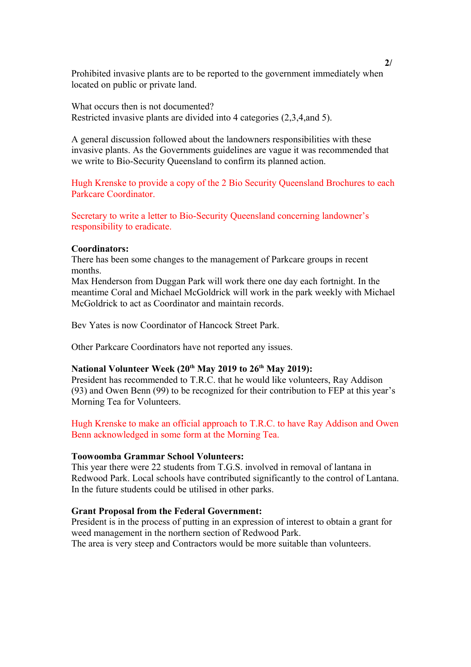Prohibited invasive plants are to be reported to the government immediately when located on public or private land.

What occurs then is not documented? Restricted invasive plants are divided into 4 categories (2,3,4,and 5).

A general discussion followed about the landowners responsibilities with these invasive plants. As the Governments guidelines are vague it was recommended that we write to Bio-Security Queensland to confirm its planned action.

Hugh Krenske to provide a copy of the 2 Bio Security Queensland Brochures to each Parkcare Coordinator.

Secretary to write a letter to Bio-Security Queensland concerning landowner's responsibility to eradicate.

#### **Coordinators:**

There has been some changes to the management of Parkcare groups in recent months.

Max Henderson from Duggan Park will work there one day each fortnight. In the meantime Coral and Michael McGoldrick will work in the park weekly with Michael McGoldrick to act as Coordinator and maintain records.

Bev Yates is now Coordinator of Hancock Street Park.

Other Parkcare Coordinators have not reported any issues.

# **National Volunteer Week (20th May 2019 to 26th May 2019):**

President has recommended to T.R.C. that he would like volunteers, Ray Addison (93) and Owen Benn (99) to be recognized for their contribution to FEP at this year's Morning Tea for Volunteers.

Hugh Krenske to make an official approach to T.R.C. to have Ray Addison and Owen Benn acknowledged in some form at the Morning Tea.

#### **Toowoomba Grammar School Volunteers:**

This year there were 22 students from T.G.S. involved in removal of lantana in Redwood Park. Local schools have contributed significantly to the control of Lantana. In the future students could be utilised in other parks.

#### **Grant Proposal from the Federal Government:**

President is in the process of putting in an expression of interest to obtain a grant for weed management in the northern section of Redwood Park. The area is very steep and Contractors would be more suitable than volunteers.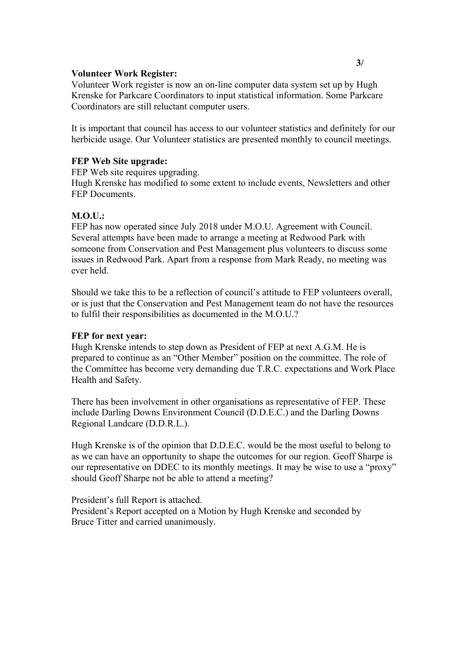#### **Volunteer Work Register:**

Volunteer Work register is now an on-line computer data system set up by Hugh Krenske for Parkcare Coordinators to input statistical information. Some Parkcare Coordinators are still reluctant computer users.

It is important that council has access to our volunteer statistics and definitely for our herbicide usage. Our Volunteer statistics are presented monthly to council meetings.

#### **FEP Web Site upgrade:**

FEP Web site requires upgrading.

Hugh Krenske has modified to some extent to include events, Newsletters and other FEP Documents.

#### **M.O.U.:**

FEP has now operated since July 2018 under M.O.U. Agreement with Council. Several attempts have been made to arrange a meeting at Redwood Park with someone from Conservation and Pest Management plus volunteers to discuss some issues in Redwood Park. Apart from a response from Mark Ready, no meeting was ever held.

Should we take this to be a reflection of council's attitude to FEP volunteers overall, or is just that the Conservation and Pest Management team do not have the resources to fulfil their responsibilities as documented in the M.O.U.?

#### **FEP for next year:**

Hugh Krenske intends to step down as President of FEP at next A.G.M. He is prepared to continue as an "Other Member" position on the committee. The role of the Committee has become very demanding due T.R.C. expectations and Work Place Health and Safety.

There has been involvement in other organisations as representative of FEP. These include Darling Downs Environment Council (D.D.E.C.) and the Darling Downs Regional Landcare (D.D.R.L.).

Hugh Krenske is of the opinion that D.D.E.C. would be the most useful to belong to as we can have an opportunity to shape the outcomes for our region. Geoff Sharpe is our representative on DDEC to its monthly meetings. It may be wise to use a "proxy" should Geoff Sharpe not be able to attend a meeting?

President's full Report is attached. President's Report accepted on a Motion by Hugh Krenske and seconded by Bruce Titter and carried unanimously.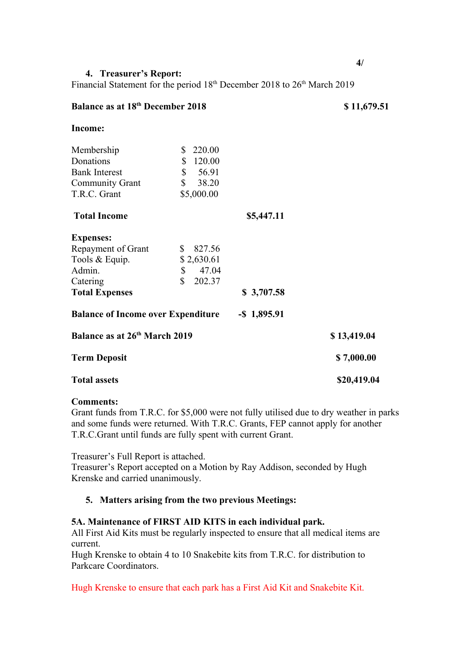#### **4. Treasurer's Report:**

Financial Statement for the period  $18<sup>th</sup>$  December 2018 to  $26<sup>th</sup>$  March 2019

| Balance as at 18th December 2018                             |                        |            | \$11,679.51 |
|--------------------------------------------------------------|------------------------|------------|-------------|
| Income:                                                      |                        |            |             |
| Membership                                                   | \$<br>220.00           |            |             |
| Donations                                                    | 120.00<br>\$           |            |             |
| <b>Bank Interest</b>                                         | \$<br>56.91            |            |             |
| <b>Community Grant</b>                                       | $\mathbb{S}$<br>38.20  |            |             |
| T.R.C. Grant                                                 | \$5,000.00             |            |             |
| <b>Total Income</b>                                          |                        | \$5,447.11 |             |
| <b>Expenses:</b>                                             |                        |            |             |
| Repayment of Grant                                           | 827.56<br>$\mathbb{S}$ |            |             |
| Tools & Equip.                                               | \$2,630.61             |            |             |
| Admin.                                                       | \$<br>47.04            |            |             |
| Catering                                                     | \$<br>202.37           |            |             |
| <b>Total Expenses</b>                                        |                        | \$3,707.58 |             |
| <b>Balance of Income over Expenditure</b><br>$-$ \$ 1,895.91 |                        |            |             |
| Balance as at 26 <sup>th</sup> March 2019                    |                        |            | \$13,419.04 |
| <b>Term Deposit</b>                                          |                        |            | \$7,000.00  |
| <b>Total assets</b>                                          |                        |            | \$20,419.04 |

#### **Comments:**

Grant funds from T.R.C. for \$5,000 were not fully utilised due to dry weather in parks and some funds were returned. With T.R.C. Grants, FEP cannot apply for another T.R.C.Grant until funds are fully spent with current Grant.

Treasurer's Full Report is attached.

Treasurer's Report accepted on a Motion by Ray Addison, seconded by Hugh Krenske and carried unanimously.

## **5. Matters arising from the two previous Meetings:**

## **5A. Maintenance of FIRST AID KITS in each individual park.**

All First Aid Kits must be regularly inspected to ensure that all medical items are current.

Hugh Krenske to obtain 4 to 10 Snakebite kits from T.R.C. for distribution to Parkcare Coordinators.

Hugh Krenske to ensure that each park has a First Aid Kit and Snakebite Kit.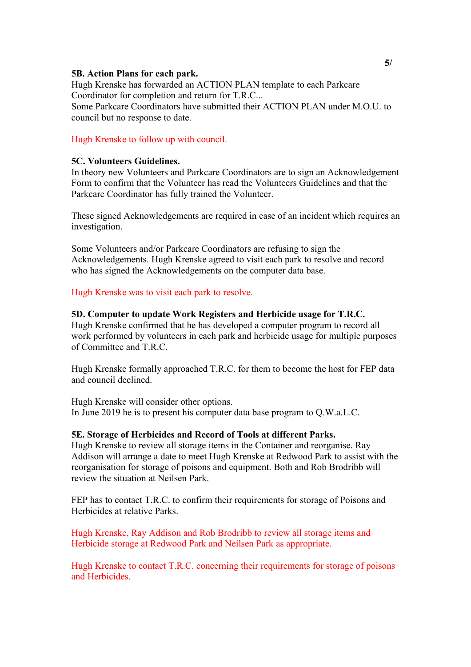#### **5B. Action Plans for each park.**

Hugh Krenske has forwarded an ACTION PLAN template to each Parkcare Coordinator for completion and return for T.R.C... Some Parkcare Coordinators have submitted their ACTION PLAN under M.O.U. to council but no response to date.

## Hugh Krenske to follow up with council.

## **5C. Volunteers Guidelines.**

In theory new Volunteers and Parkcare Coordinators are to sign an Acknowledgement Form to confirm that the Volunteer has read the Volunteers Guidelines and that the Parkcare Coordinator has fully trained the Volunteer.

These signed Acknowledgements are required in case of an incident which requires an investigation.

Some Volunteers and/or Parkcare Coordinators are refusing to sign the Acknowledgements. Hugh Krenske agreed to visit each park to resolve and record who has signed the Acknowledgements on the computer data base.

# Hugh Krenske was to visit each park to resolve.

## **5D. Computer to update Work Registers and Herbicide usage for T.R.C.**

Hugh Krenske confirmed that he has developed a computer program to record all work performed by volunteers in each park and herbicide usage for multiple purposes of Committee and T.R.C.

Hugh Krenske formally approached T.R.C. for them to become the host for FEP data and council declined.

Hugh Krenske will consider other options. In June 2019 he is to present his computer data base program to Q.W.a.L.C.

## **5E. Storage of Herbicides and Record of Tools at different Parks.**

Hugh Krenske to review all storage items in the Container and reorganise. Ray Addison will arrange a date to meet Hugh Krenske at Redwood Park to assist with the reorganisation for storage of poisons and equipment. Both and Rob Brodribb will review the situation at Neilsen Park.

FEP has to contact T.R.C. to confirm their requirements for storage of Poisons and Herbicides at relative Parks.

Hugh Krenske, Ray Addison and Rob Brodribb to review all storage items and Herbicide storage at Redwood Park and Neilsen Park as appropriate.

Hugh Krenske to contact T.R.C. concerning their requirements for storage of poisons and Herbicides.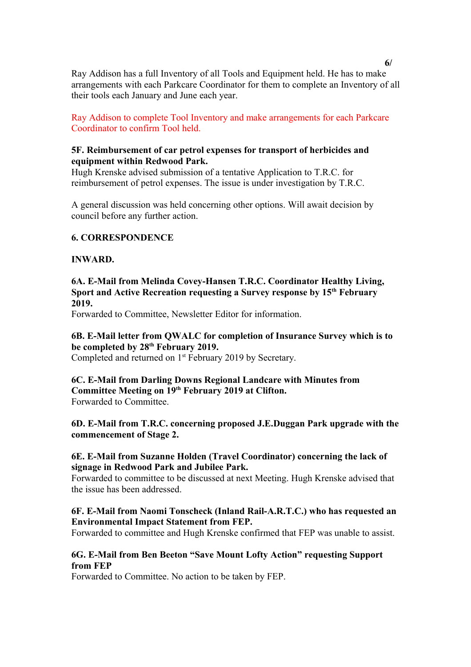Ray Addison has a full Inventory of all Tools and Equipment held. He has to make arrangements with each Parkcare Coordinator for them to complete an Inventory of all their tools each January and June each year.

Ray Addison to complete Tool Inventory and make arrangements for each Parkcare Coordinator to confirm Tool held.

#### **5F. Reimbursement of car petrol expenses for transport of herbicides and equipment within Redwood Park.**

Hugh Krenske advised submission of a tentative Application to T.R.C. for reimbursement of petrol expenses. The issue is under investigation by T.R.C.

A general discussion was held concerning other options. Will await decision by council before any further action.

#### **6. CORRESPONDENCE**

## **INWARD.**

**6A. E-Mail from Melinda Covey-Hansen T.R.C. Coordinator Healthy Living, Sport and Active Recreation requesting a Survey response by 15th February 2019.**

Forwarded to Committee, Newsletter Editor for information.

## **6B. E-Mail letter from QWALC for completion of Insurance Survey which is to be completed by 28th February 2019.**

Completed and returned on 1<sup>st</sup> February 2019 by Secretary.

#### **6C. E-Mail from Darling Downs Regional Landcare with Minutes from Committee Meeting on 19th February 2019 at Clifton.** Forwarded to Committee.

# **6D. E-Mail from T.R.C. concerning proposed J.E.Duggan Park upgrade with the commencement of Stage 2.**

#### **6E. E-Mail from Suzanne Holden (Travel Coordinator) concerning the lack of signage in Redwood Park and Jubilee Park.**

Forwarded to committee to be discussed at next Meeting. Hugh Krenske advised that the issue has been addressed.

## **6F. E-Mail from Naomi Tonscheck (Inland Rail-A.R.T.C.) who has requested an Environmental Impact Statement from FEP.**

Forwarded to committee and Hugh Krenske confirmed that FEP was unable to assist.

## **6G. E-Mail from Ben Beeton "Save Mount Lofty Action" requesting Support from FEP**

Forwarded to Committee. No action to be taken by FEP.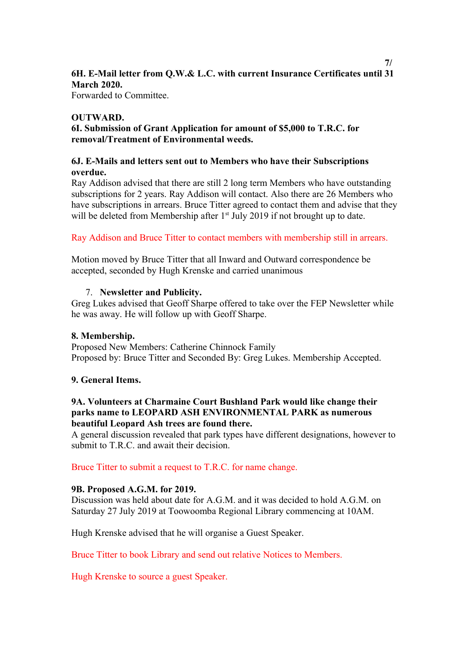# **6H. E-Mail letter from Q.W.& L.C. with current Insurance Certificates until 31 March 2020.**

Forwarded to Committee.

# **OUTWARD.**

**6I. Submission of Grant Application for amount of \$5,000 to T.R.C. for removal/Treatment of Environmental weeds.**

# **6J. E-Mails and letters sent out to Members who have their Subscriptions overdue.**

Ray Addison advised that there are still 2 long term Members who have outstanding subscriptions for 2 years. Ray Addison will contact. Also there are 26 Members who have subscriptions in arrears. Bruce Titter agreed to contact them and advise that they will be deleted from Membership after  $1<sup>st</sup>$  July 2019 if not brought up to date.

Ray Addison and Bruce Titter to contact members with membership still in arrears.

Motion moved by Bruce Titter that all Inward and Outward correspondence be accepted, seconded by Hugh Krenske and carried unanimous

# 7. **Newsletter and Publicity.**

Greg Lukes advised that Geoff Sharpe offered to take over the FEP Newsletter while he was away. He will follow up with Geoff Sharpe.

## **8. Membership.**

Proposed New Members: Catherine Chinnock Family Proposed by: Bruce Titter and Seconded By: Greg Lukes. Membership Accepted.

## **9. General Items.**

## **9A. Volunteers at Charmaine Court Bushland Park would like change their parks name to LEOPARD ASH ENVIRONMENTAL PARK as numerous beautiful Leopard Ash trees are found there.**

A general discussion revealed that park types have different designations, however to submit to T.R.C. and await their decision.

Bruce Titter to submit a request to T.R.C. for name change.

## **9B. Proposed A.G.M. for 2019.**

Discussion was held about date for A.G.M. and it was decided to hold A.G.M. on Saturday 27 July 2019 at Toowoomba Regional Library commencing at 10AM.

Hugh Krenske advised that he will organise a Guest Speaker.

Bruce Titter to book Library and send out relative Notices to Members.

Hugh Krenske to source a guest Speaker.